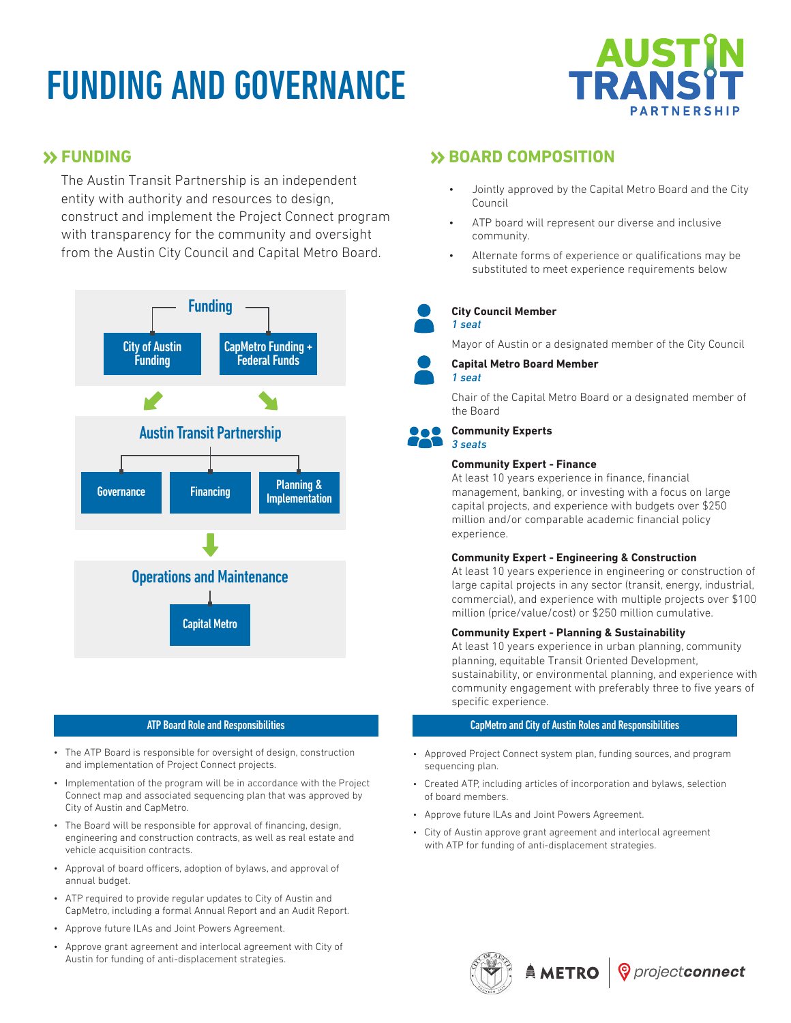# FUNDING AND GOVERNANCE



### **SS FUNDING**

The Austin Transit Partnership is an independent entity with authority and resources to design, construct and implement the Project Connect program with transparency for the community and oversight from the Austin City Council and Capital Metro Board.



- The ATP Board is responsible for oversight of design, construction and implementation of Project Connect projects.
- Implementation of the program will be in accordance with the Project Connect map and associated sequencing plan that was approved by City of Austin and CapMetro.
- The Board will be responsible for approval of financing, design, engineering and construction contracts, as well as real estate and vehicle acquisition contracts.
- Approval of board officers, adoption of bylaws, and approval of annual budget.
- ATP required to provide regular updates to City of Austin and CapMetro, including a formal Annual Report and an Audit Report.
- Approve future ILAs and Joint Powers Agreement.
- Approve grant agreement and interlocal agreement with City of Austin for funding of anti-displacement strategies.

## **BOARD COMPOSITION**

- Jointly approved by the Capital Metro Board and the City Council
- ATP board will represent our diverse and inclusive community.
- Alternate forms of experience or qualifications may be substituted to meet experience requirements below

#### **City Council Member** *1 seat*

Mayor of Austin or a designated member of the City Council



### **Capital Metro Board Member**

*1 seat*

Chair of the Capital Metro Board or a designated member of the Board

#### **Community Experts** *3 seats*

#### **Community Expert - Finance**

At least 10 years experience in finance, financial management, banking, or investing with a focus on large capital projects, and experience with budgets over \$250 million and/or comparable academic financial policy experience.

#### **Community Expert - Engineering & Construction**

At least 10 years experience in engineering or construction of large capital projects in any sector (transit, energy, industrial, commercial), and experience with multiple projects over \$100 million (price/value/cost) or \$250 million cumulative.

#### **Community Expert - Planning & Sustainability**

At least 10 years experience in urban planning, community planning, equitable Transit Oriented Development, sustainability, or environmental planning, and experience with community engagement with preferably three to five years of specific experience.

#### ATP Board Role and Responsibilities CapMetro and City of Austin Roles and Responsibilities

- Approved Project Connect system plan, funding sources, and program sequencing plan.
- Created ATP, including articles of incorporation and bylaws, selection of board members.
- Approve future ILAs and Joint Powers Agreement.
- City of Austin approve grant agreement and interlocal agreement with ATP for funding of anti-displacement strategies.